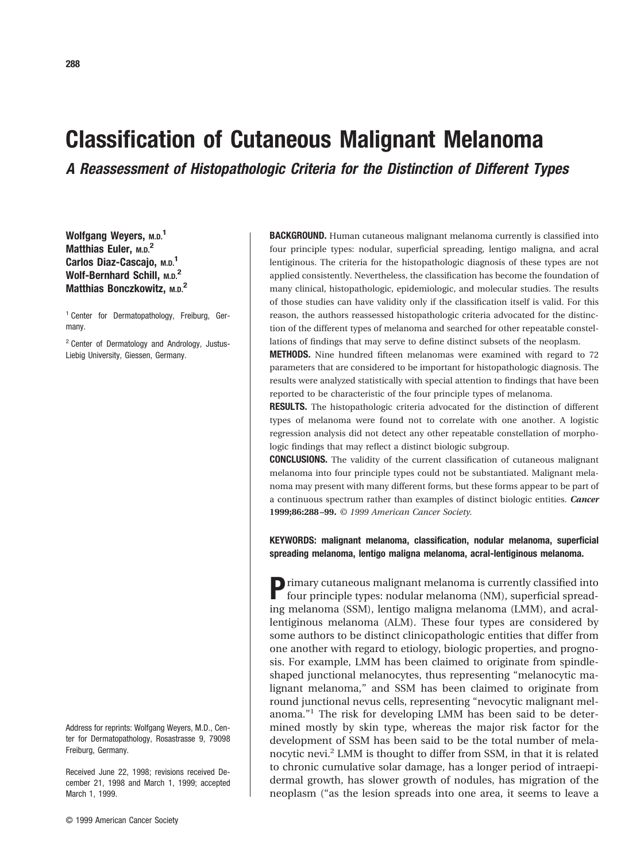# **Classification of Cutaneous Malignant Melanoma**

A Reassessment of Histopathologic Criteria for the Distinction of Different Types

**Wolfgang Weyers, M.D.1 Matthias Euler, M.D.2 Carlos Diaz-Cascajo, M.D.1 Wolf-Bernhard Schill, M.D.2 Matthias Bonczkowitz, M.D.2**

<sup>1</sup> Center for Dermatopathology, Freiburg, Germany.

<sup>2</sup> Center of Dermatology and Andrology, Justus-Liebig University, Giessen, Germany.

Address for reprints: Wolfgang Weyers, M.D., Center for Dermatopathology, Rosastrasse 9, 79098 Freiburg, Germany.

Received June 22, 1998; revisions received December 21, 1998 and March 1, 1999; accepted March 1, 1999.

**BACKGROUND.** Human cutaneous malignant melanoma currently is classified into four principle types: nodular, superficial spreading, lentigo maligna, and acral lentiginous. The criteria for the histopathologic diagnosis of these types are not applied consistently. Nevertheless, the classification has become the foundation of many clinical, histopathologic, epidemiologic, and molecular studies. The results of those studies can have validity only if the classification itself is valid. For this reason, the authors reassessed histopathologic criteria advocated for the distinction of the different types of melanoma and searched for other repeatable constellations of findings that may serve to define distinct subsets of the neoplasm.

**METHODS.** Nine hundred fifteen melanomas were examined with regard to 72 parameters that are considered to be important for histopathologic diagnosis. The results were analyzed statistically with special attention to findings that have been reported to be characteristic of the four principle types of melanoma.

**RESULTS.** The histopathologic criteria advocated for the distinction of different types of melanoma were found not to correlate with one another. A logistic regression analysis did not detect any other repeatable constellation of morphologic findings that may reflect a distinct biologic subgroup.

**CONCLUSIONS.** The validity of the current classification of cutaneous malignant melanoma into four principle types could not be substantiated. Malignant melanoma may present with many different forms, but these forms appear to be part of a continuous spectrum rather than examples of distinct biologic entities. *Cancer* **1999;86:288 –99.** *© 1999 American Cancer Society.*

**KEYWORDS: malignant melanoma, classification, nodular melanoma, superficial spreading melanoma, lentigo maligna melanoma, acral-lentiginous melanoma.**

**P**rimary cutaneous malignant melanoma is currently classified into four principle  $\pm$ four principle types: nodular melanoma (NM), superficial spreading melanoma (SSM), lentigo maligna melanoma (LMM), and acrallentiginous melanoma (ALM). These four types are considered by some authors to be distinct clinicopathologic entities that differ from one another with regard to etiology, biologic properties, and prognosis. For example, LMM has been claimed to originate from spindleshaped junctional melanocytes, thus representing "melanocytic malignant melanoma," and SSM has been claimed to originate from round junctional nevus cells, representing "nevocytic malignant melanoma."1 The risk for developing LMM has been said to be determined mostly by skin type, whereas the major risk factor for the development of SSM has been said to be the total number of melanocytic nevi.2 LMM is thought to differ from SSM, in that it is related to chronic cumulative solar damage, has a longer period of intraepidermal growth, has slower growth of nodules, has migration of the neoplasm ("as the lesion spreads into one area, it seems to leave a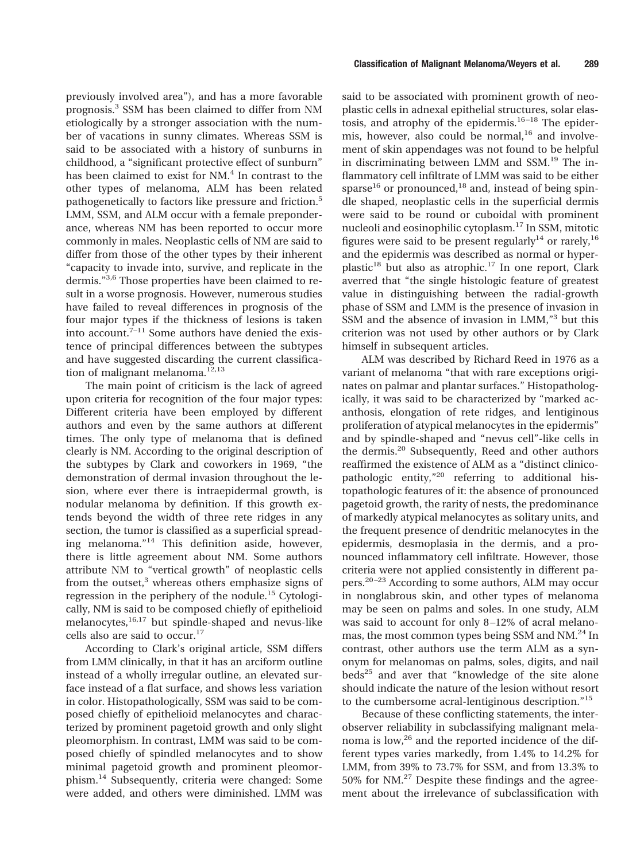previously involved area"), and has a more favorable prognosis.3 SSM has been claimed to differ from NM etiologically by a stronger association with the number of vacations in sunny climates. Whereas SSM is said to be associated with a history of sunburns in childhood, a "significant protective effect of sunburn" has been claimed to exist for  $NM<sup>4</sup>$ . In contrast to the other types of melanoma, ALM has been related pathogenetically to factors like pressure and friction.<sup>5</sup> LMM, SSM, and ALM occur with a female preponderance, whereas NM has been reported to occur more commonly in males. Neoplastic cells of NM are said to differ from those of the other types by their inherent "capacity to invade into, survive, and replicate in the dermis."3,6 Those properties have been claimed to result in a worse prognosis. However, numerous studies have failed to reveal differences in prognosis of the four major types if the thickness of lesions is taken into account.<sup>7-11</sup> Some authors have denied the existence of principal differences between the subtypes and have suggested discarding the current classification of malignant melanoma.<sup>12,13</sup>

The main point of criticism is the lack of agreed upon criteria for recognition of the four major types: Different criteria have been employed by different authors and even by the same authors at different times. The only type of melanoma that is defined clearly is NM. According to the original description of the subtypes by Clark and coworkers in 1969, "the demonstration of dermal invasion throughout the lesion, where ever there is intraepidermal growth, is nodular melanoma by definition. If this growth extends beyond the width of three rete ridges in any section, the tumor is classified as a superficial spreading melanoma."14 This definition aside, however, there is little agreement about NM. Some authors attribute NM to "vertical growth" of neoplastic cells from the outset, $3$  whereas others emphasize signs of regression in the periphery of the nodule.<sup>15</sup> Cytologically, NM is said to be composed chiefly of epithelioid melanocytes,<sup>16,17</sup> but spindle-shaped and nevus-like cells also are said to occur.<sup>17</sup>

According to Clark's original article, SSM differs from LMM clinically, in that it has an arciform outline instead of a wholly irregular outline, an elevated surface instead of a flat surface, and shows less variation in color. Histopathologically, SSM was said to be composed chiefly of epithelioid melanocytes and characterized by prominent pagetoid growth and only slight pleomorphism. In contrast, LMM was said to be composed chiefly of spindled melanocytes and to show minimal pagetoid growth and prominent pleomorphism.14 Subsequently, criteria were changed: Some were added, and others were diminished. LMM was said to be associated with prominent growth of neoplastic cells in adnexal epithelial structures, solar elastosis, and atrophy of the epidermis. $16 - 18$  The epidermis, however, also could be normal, $16$  and involvement of skin appendages was not found to be helpful in discriminating between LMM and SSM.<sup>19</sup> The inflammatory cell infiltrate of LMM was said to be either sparse<sup>16</sup> or pronounced,<sup>18</sup> and, instead of being spindle shaped, neoplastic cells in the superficial dermis were said to be round or cuboidal with prominent nucleoli and eosinophilic cytoplasm.<sup>17</sup> In SSM, mitotic figures were said to be present regularly<sup>14</sup> or rarely,<sup>16</sup> and the epidermis was described as normal or hyperplastic<sup>18</sup> but also as atrophic.<sup>17</sup> In one report, Clark averred that "the single histologic feature of greatest value in distinguishing between the radial-growth phase of SSM and LMM is the presence of invasion in SSM and the absence of invasion in LMM,"<sup>3</sup> but this criterion was not used by other authors or by Clark himself in subsequent articles.

ALM was described by Richard Reed in 1976 as a variant of melanoma "that with rare exceptions originates on palmar and plantar surfaces." Histopathologically, it was said to be characterized by "marked acanthosis, elongation of rete ridges, and lentiginous proliferation of atypical melanocytes in the epidermis" and by spindle-shaped and "nevus cell"-like cells in the dermis.<sup>20</sup> Subsequently, Reed and other authors reaffirmed the existence of ALM as a "distinct clinicopathologic entity,"<sup>20</sup> referring to additional histopathologic features of it: the absence of pronounced pagetoid growth, the rarity of nests, the predominance of markedly atypical melanocytes as solitary units, and the frequent presence of dendritic melanocytes in the epidermis, desmoplasia in the dermis, and a pronounced inflammatory cell infiltrate. However, those criteria were not applied consistently in different papers.20 –23 According to some authors, ALM may occur in nonglabrous skin, and other types of melanoma may be seen on palms and soles. In one study, ALM was said to account for only 8 –12% of acral melanomas, the most common types being SSM and NM.<sup>24</sup> In contrast, other authors use the term ALM as a synonym for melanomas on palms, soles, digits, and nail beds<sup>25</sup> and aver that "knowledge of the site alone should indicate the nature of the lesion without resort to the cumbersome acral-lentiginous description."15

Because of these conflicting statements, the interobserver reliability in subclassifying malignant melanoma is low, $^{26}$  and the reported incidence of the different types varies markedly, from 1.4% to 14.2% for LMM, from 39% to 73.7% for SSM, and from 13.3% to  $50\%$  for NM.<sup>27</sup> Despite these findings and the agreement about the irrelevance of subclassification with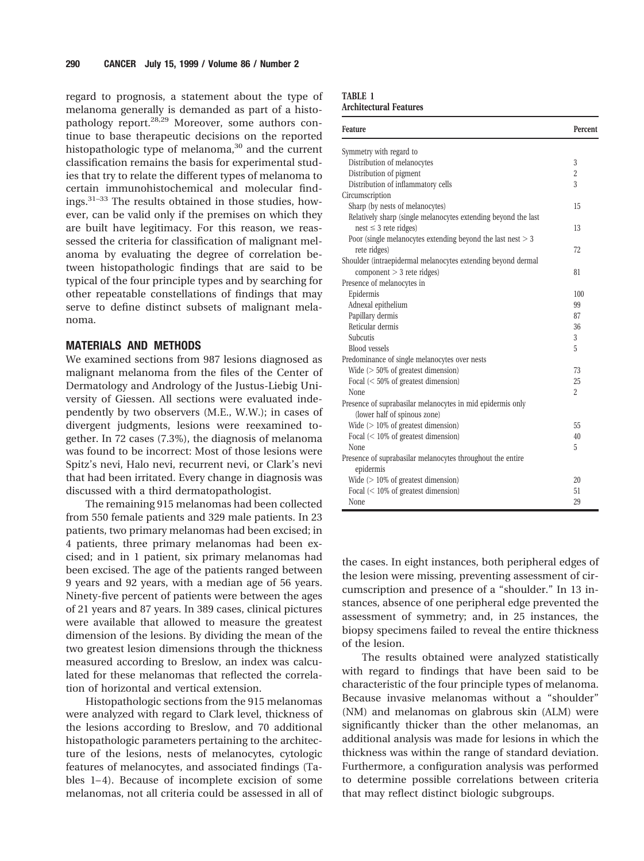regard to prognosis, a statement about the type of melanoma generally is demanded as part of a histopathology report.<sup>28,29</sup> Moreover, some authors continue to base therapeutic decisions on the reported histopathologic type of melanoma, $30$  and the current classification remains the basis for experimental studies that try to relate the different types of melanoma to certain immunohistochemical and molecular findings.31–33 The results obtained in those studies, however, can be valid only if the premises on which they are built have legitimacy. For this reason, we reassessed the criteria for classification of malignant melanoma by evaluating the degree of correlation between histopathologic findings that are said to be typical of the four principle types and by searching for other repeatable constellations of findings that may serve to define distinct subsets of malignant melanoma.

# **MATERIALS AND METHODS**

We examined sections from 987 lesions diagnosed as malignant melanoma from the files of the Center of Dermatology and Andrology of the Justus-Liebig University of Giessen. All sections were evaluated independently by two observers (M.E., W.W.); in cases of divergent judgments, lesions were reexamined together. In 72 cases (7.3%), the diagnosis of melanoma was found to be incorrect: Most of those lesions were Spitz's nevi, Halo nevi, recurrent nevi, or Clark's nevi that had been irritated. Every change in diagnosis was discussed with a third dermatopathologist.

The remaining 915 melanomas had been collected from 550 female patients and 329 male patients. In 23 patients, two primary melanomas had been excised; in 4 patients, three primary melanomas had been excised; and in 1 patient, six primary melanomas had been excised. The age of the patients ranged between 9 years and 92 years, with a median age of 56 years. Ninety-five percent of patients were between the ages of 21 years and 87 years. In 389 cases, clinical pictures were available that allowed to measure the greatest dimension of the lesions. By dividing the mean of the two greatest lesion dimensions through the thickness measured according to Breslow, an index was calculated for these melanomas that reflected the correlation of horizontal and vertical extension.

Histopathologic sections from the 915 melanomas were analyzed with regard to Clark level, thickness of the lesions according to Breslow, and 70 additional histopathologic parameters pertaining to the architecture of the lesions, nests of melanocytes, cytologic features of melanocytes, and associated findings (Tables 1–4). Because of incomplete excision of some melanomas, not all criteria could be assessed in all of

**Architectural Features**

| Feature                                                                                    | Percent        |
|--------------------------------------------------------------------------------------------|----------------|
| Symmetry with regard to                                                                    |                |
| Distribution of melanocytes                                                                | 3              |
| Distribution of pigment                                                                    | $\overline{c}$ |
| Distribution of inflammatory cells                                                         | 3              |
| Circumscription                                                                            |                |
| Sharp (by nests of melanocytes)                                                            | 15             |
| Relatively sharp (single melanocytes extending beyond the last                             |                |
| $nest \leq 3$ rete ridges)                                                                 | 13             |
| Poor (single melanocytes extending beyond the last nest $> 3$                              |                |
| rete ridges)                                                                               | 72             |
| Shoulder (intraepidermal melanocytes extending beyond dermal                               |                |
| $component > 3$ rete ridges)                                                               | 81             |
| Presence of melanocytes in                                                                 |                |
| Epidermis                                                                                  | 100            |
| Adnexal epithelium                                                                         | 99             |
| Papillary dermis                                                                           | 87             |
| Reticular dermis                                                                           | 36             |
| Subcutis                                                                                   | 3              |
| <b>Blood</b> vessels                                                                       | 5              |
| Predominance of single melanocytes over nests                                              |                |
| Wide $($ > 50% of greatest dimension)                                                      | 73             |
| Focal $(< 50\%$ of greatest dimension)                                                     | 25             |
| None                                                                                       | $\overline{c}$ |
| Presence of suprabasilar melanocytes in mid epidermis only<br>(lower half of spinous zone) |                |
| Wide $(>10\%$ of greatest dimension)                                                       | 55             |
| Focal $(< 10\%$ of greatest dimension)                                                     | 40             |
| None                                                                                       | 5              |
| Presence of suprabasilar melanocytes throughout the entire<br>epidermis                    |                |
| Wide $(>10\%$ of greatest dimension)                                                       | 20             |
| Focal $(< 10\%$ of greatest dimension)                                                     | 51             |
| None                                                                                       | 29             |

the cases. In eight instances, both peripheral edges of the lesion were missing, preventing assessment of circumscription and presence of a "shoulder." In 13 instances, absence of one peripheral edge prevented the assessment of symmetry; and, in 25 instances, the biopsy specimens failed to reveal the entire thickness of the lesion.

The results obtained were analyzed statistically with regard to findings that have been said to be characteristic of the four principle types of melanoma. Because invasive melanomas without a "shoulder" (NM) and melanomas on glabrous skin (ALM) were significantly thicker than the other melanomas, an additional analysis was made for lesions in which the thickness was within the range of standard deviation. Furthermore, a configuration analysis was performed to determine possible correlations between criteria that may reflect distinct biologic subgroups.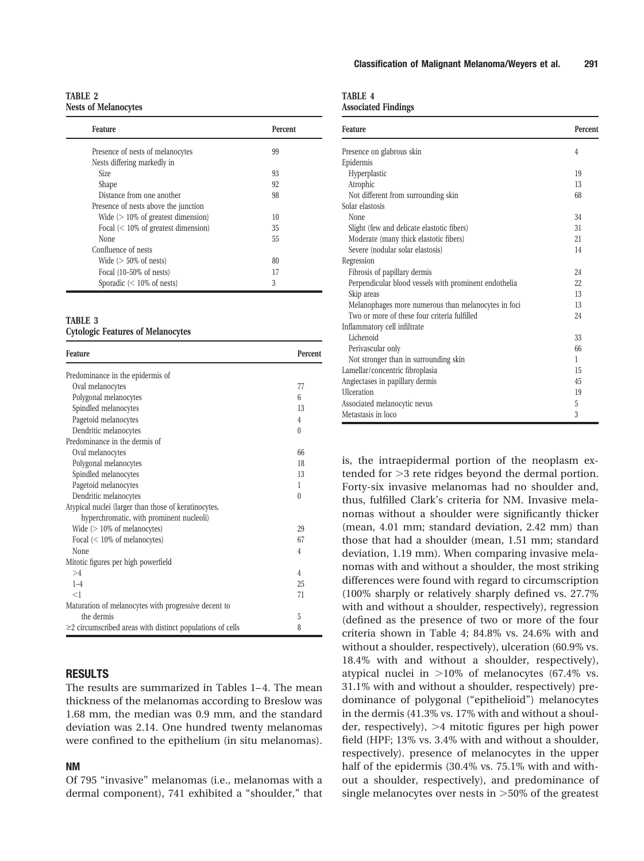**TABLE 2 Nests of Melanocytes**

| Feature                                   | Percent |
|-------------------------------------------|---------|
| Presence of nests of melanocytes          | 99      |
| Nests differing markedly in               |         |
| <b>Size</b>                               | 93      |
| Shape                                     | 92      |
| Distance from one another                 | 98      |
| Presence of nests above the junction      |         |
| Wide $(>10\%$ of greatest dimension)      | 10      |
| Focal $(< 10\%$ of greatest dimension)    | 35      |
| None                                      | 55      |
| Confluence of nests                       |         |
| Wide $(> 50\% \text{ of } \text{nest})$   | 80      |
| Focal $(10-50\% \text{ of } \text{nest})$ | 17      |
| Sporadic $(< 10\%$ of nests)              | 3       |

#### **TABLE 3 Cytologic Features of Melanocytes**

| <b>Feature</b>                                                  | Percent  |
|-----------------------------------------------------------------|----------|
| Predominance in the epidermis of                                |          |
| Oval melanocytes                                                | 77       |
| Polygonal melanocytes                                           | 6        |
| Spindled melanocytes                                            | 13       |
| Pagetoid melanocytes                                            | 4        |
| Dendritic melanocytes                                           | $\theta$ |
| Predominance in the dermis of                                   |          |
| Oval melanocytes                                                | 66       |
| Polygonal melanocytes                                           | 18       |
| Spindled melanocytes                                            | 13       |
| Pagetoid melanocytes                                            | 1        |
| Dendritic melanocytes                                           | $\theta$ |
| Atypical nuclei (larger than those of keratinocytes,            |          |
| hyperchromatic, with prominent nucleoli)                        |          |
| Wide $(>10\%$ of melanocytes)                                   | 29       |
| Focal $(< 10\%$ of melanocytes)                                 | 67       |
| None                                                            | 4        |
| Mitotic figures per high powerfield                             |          |
| >4                                                              | 4        |
| $1 - 4$                                                         | 25       |
| $<$ 1                                                           | 71       |
| Maturation of melanocytes with progressive decent to            |          |
| the dermis                                                      | 5        |
| $\geq$ 2 circumscribed areas with distinct populations of cells | 8        |

# **RESULTS**

The results are summarized in Tables 1–4. The mean thickness of the melanomas according to Breslow was 1.68 mm, the median was 0.9 mm, and the standard deviation was 2.14. One hundred twenty melanomas were confined to the epithelium (in situ melanomas).

#### **NM**

Of 795 "invasive" melanomas (i.e., melanomas with a dermal component), 741 exhibited a "shoulder," that

**Associated Findings**

| <b>Feature</b>                                        | Percent |
|-------------------------------------------------------|---------|
| Presence on glabrous skin                             | 4       |
| Epidermis                                             |         |
| Hyperplastic                                          | 19      |
| Atrophic                                              | 13      |
| Not different from surrounding skin                   | 68      |
| Solar elastosis                                       |         |
| None                                                  | 34      |
| Slight (few and delicate elastotic fibers)            | 31      |
| Moderate (many thick elastotic fibers)                | 21      |
| Severe (nodular solar elastosis)                      | 14      |
| Regression                                            |         |
| Fibrosis of papillary dermis                          | 24      |
| Perpendicular blood vessels with prominent endothelia | 22      |
| Skip areas                                            | 13      |
| Melanophages more numerous than melanocytes in foci   | 13      |
| Two or more of these four criteria fulfilled          | 24      |
| Inflammatory cell infiltrate                          |         |
| Lichenoid                                             | 33      |
| Perivascular only                                     | 66      |
| Not stronger than in surrounding skin                 | 1       |
| Lamellar/concentric fibroplasia                       | 15      |
| Angiectases in papillary dermis                       | 45      |
| <b>U</b> lceration                                    | 19      |
| Associated melanocytic nevus                          |         |
| Metastasis in loco                                    | 3       |

is, the intraepidermal portion of the neoplasm extended for  $>3$  rete ridges beyond the dermal portion. Forty-six invasive melanomas had no shoulder and, thus, fulfilled Clark's criteria for NM. Invasive melanomas without a shoulder were significantly thicker (mean, 4.01 mm; standard deviation, 2.42 mm) than those that had a shoulder (mean, 1.51 mm; standard deviation, 1.19 mm). When comparing invasive melanomas with and without a shoulder, the most striking differences were found with regard to circumscription (100% sharply or relatively sharply defined vs. 27.7% with and without a shoulder, respectively), regression (defined as the presence of two or more of the four criteria shown in Table 4; 84.8% vs. 24.6% with and without a shoulder, respectively), ulceration (60.9% vs. 18.4% with and without a shoulder, respectively), atypical nuclei in  $>10\%$  of melanocytes (67.4% vs. 31.1% with and without a shoulder, respectively) predominance of polygonal ("epithelioid") melanocytes in the dermis (41.3% vs. 17% with and without a shoulder, respectively),  $>4$  mitotic figures per high power field (HPF; 13% vs. 3.4% with and without a shoulder, respectively). presence of melanocytes in the upper half of the epidermis (30.4% vs. 75.1% with and without a shoulder, respectively), and predominance of single melanocytes over nests in  $>50\%$  of the greatest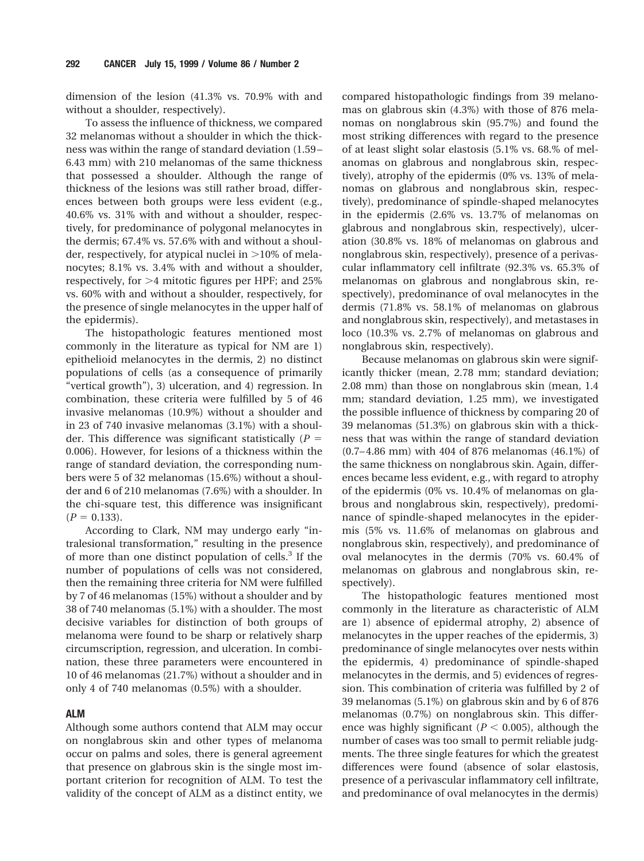dimension of the lesion (41.3% vs. 70.9% with and without a shoulder, respectively).

To assess the influence of thickness, we compared 32 melanomas without a shoulder in which the thickness was within the range of standard deviation (1.59 – 6.43 mm) with 210 melanomas of the same thickness that possessed a shoulder. Although the range of thickness of the lesions was still rather broad, differences between both groups were less evident (e.g., 40.6% vs. 31% with and without a shoulder, respectively, for predominance of polygonal melanocytes in the dermis; 67.4% vs. 57.6% with and without a shoulder, respectively, for atypical nuclei in  $>10\%$  of melanocytes; 8.1% vs. 3.4% with and without a shoulder, respectively, for  $>4$  mitotic figures per HPF; and 25% vs. 60% with and without a shoulder, respectively, for the presence of single melanocytes in the upper half of the epidermis).

The histopathologic features mentioned most commonly in the literature as typical for NM are 1) epithelioid melanocytes in the dermis, 2) no distinct populations of cells (as a consequence of primarily "vertical growth"), 3) ulceration, and 4) regression. In combination, these criteria were fulfilled by 5 of 46 invasive melanomas (10.9%) without a shoulder and in 23 of 740 invasive melanomas (3.1%) with a shoulder. This difference was significant statistically  $(P =$ 0.006). However, for lesions of a thickness within the range of standard deviation, the corresponding numbers were 5 of 32 melanomas (15.6%) without a shoulder and 6 of 210 melanomas (7.6%) with a shoulder. In the chi-square test, this difference was insignificant  $(P = 0.133)$ .

According to Clark, NM may undergo early "intralesional transformation," resulting in the presence of more than one distinct population of cells. $3$  If the number of populations of cells was not considered, then the remaining three criteria for NM were fulfilled by 7 of 46 melanomas (15%) without a shoulder and by 38 of 740 melanomas (5.1%) with a shoulder. The most decisive variables for distinction of both groups of melanoma were found to be sharp or relatively sharp circumscription, regression, and ulceration. In combination, these three parameters were encountered in 10 of 46 melanomas (21.7%) without a shoulder and in only 4 of 740 melanomas (0.5%) with a shoulder.

# **ALM**

Although some authors contend that ALM may occur on nonglabrous skin and other types of melanoma occur on palms and soles, there is general agreement that presence on glabrous skin is the single most important criterion for recognition of ALM. To test the validity of the concept of ALM as a distinct entity, we compared histopathologic findings from 39 melanomas on glabrous skin (4.3%) with those of 876 melanomas on nonglabrous skin (95.7%) and found the most striking differences with regard to the presence of at least slight solar elastosis (5.1% vs. 68.% of melanomas on glabrous and nonglabrous skin, respectively), atrophy of the epidermis (0% vs. 13% of melanomas on glabrous and nonglabrous skin, respectively), predominance of spindle-shaped melanocytes in the epidermis (2.6% vs. 13.7% of melanomas on glabrous and nonglabrous skin, respectively), ulceration (30.8% vs. 18% of melanomas on glabrous and nonglabrous skin, respectively), presence of a perivascular inflammatory cell infiltrate (92.3% vs. 65.3% of melanomas on glabrous and nonglabrous skin, respectively), predominance of oval melanocytes in the dermis (71.8% vs. 58.1% of melanomas on glabrous and nonglabrous skin, respectively), and metastases in loco (10.3% vs. 2.7% of melanomas on glabrous and nonglabrous skin, respectively).

Because melanomas on glabrous skin were significantly thicker (mean, 2.78 mm; standard deviation; 2.08 mm) than those on nonglabrous skin (mean, 1.4 mm; standard deviation, 1.25 mm), we investigated the possible influence of thickness by comparing 20 of 39 melanomas (51.3%) on glabrous skin with a thickness that was within the range of standard deviation (0.7– 4.86 mm) with 404 of 876 melanomas (46.1%) of the same thickness on nonglabrous skin. Again, differences became less evident, e.g., with regard to atrophy of the epidermis (0% vs. 10.4% of melanomas on glabrous and nonglabrous skin, respectively), predominance of spindle-shaped melanocytes in the epidermis (5% vs. 11.6% of melanomas on glabrous and nonglabrous skin, respectively), and predominance of oval melanocytes in the dermis (70% vs. 60.4% of melanomas on glabrous and nonglabrous skin, respectively).

The histopathologic features mentioned most commonly in the literature as characteristic of ALM are 1) absence of epidermal atrophy, 2) absence of melanocytes in the upper reaches of the epidermis, 3) predominance of single melanocytes over nests within the epidermis, 4) predominance of spindle-shaped melanocytes in the dermis, and 5) evidences of regression. This combination of criteria was fulfilled by 2 of 39 melanomas (5.1%) on glabrous skin and by 6 of 876 melanomas (0.7%) on nonglabrous skin. This difference was highly significant  $(P < 0.005)$ , although the number of cases was too small to permit reliable judgments. The three single features for which the greatest differences were found (absence of solar elastosis, presence of a perivascular inflammatory cell infiltrate, and predominance of oval melanocytes in the dermis)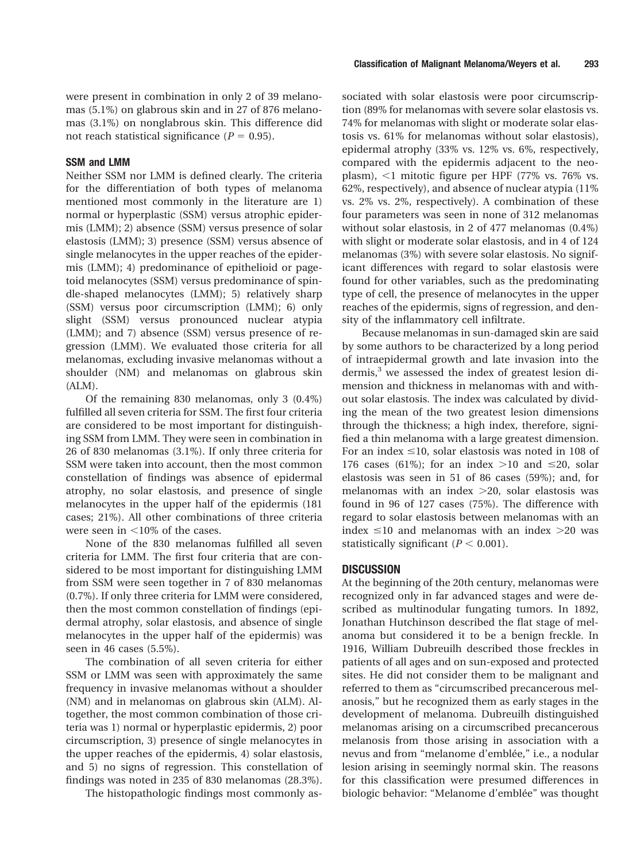were present in combination in only 2 of 39 melanomas (5.1%) on glabrous skin and in 27 of 876 melanomas (3.1%) on nonglabrous skin. This difference did not reach statistical significance ( $P = 0.95$ ).

### **SSM and LMM**

Neither SSM nor LMM is defined clearly. The criteria for the differentiation of both types of melanoma mentioned most commonly in the literature are 1) normal or hyperplastic (SSM) versus atrophic epidermis (LMM); 2) absence (SSM) versus presence of solar elastosis (LMM); 3) presence (SSM) versus absence of single melanocytes in the upper reaches of the epidermis (LMM); 4) predominance of epithelioid or pagetoid melanocytes (SSM) versus predominance of spindle-shaped melanocytes (LMM); 5) relatively sharp (SSM) versus poor circumscription (LMM); 6) only slight (SSM) versus pronounced nuclear atypia (LMM); and 7) absence (SSM) versus presence of regression (LMM). We evaluated those criteria for all melanomas, excluding invasive melanomas without a shoulder (NM) and melanomas on glabrous skin (ALM).

Of the remaining 830 melanomas, only 3 (0.4%) fulfilled all seven criteria for SSM. The first four criteria are considered to be most important for distinguishing SSM from LMM. They were seen in combination in 26 of 830 melanomas (3.1%). If only three criteria for SSM were taken into account, then the most common constellation of findings was absence of epidermal atrophy, no solar elastosis, and presence of single melanocytes in the upper half of the epidermis (181 cases; 21%). All other combinations of three criteria were seen in  $\leq 10\%$  of the cases.

None of the 830 melanomas fulfilled all seven criteria for LMM. The first four criteria that are considered to be most important for distinguishing LMM from SSM were seen together in 7 of 830 melanomas (0.7%). If only three criteria for LMM were considered, then the most common constellation of findings (epidermal atrophy, solar elastosis, and absence of single melanocytes in the upper half of the epidermis) was seen in 46 cases (5.5%).

The combination of all seven criteria for either SSM or LMM was seen with approximately the same frequency in invasive melanomas without a shoulder (NM) and in melanomas on glabrous skin (ALM). Altogether, the most common combination of those criteria was 1) normal or hyperplastic epidermis, 2) poor circumscription, 3) presence of single melanocytes in the upper reaches of the epidermis, 4) solar elastosis, and 5) no signs of regression. This constellation of findings was noted in 235 of 830 melanomas (28.3%).

The histopathologic findings most commonly as-

sociated with solar elastosis were poor circumscription (89% for melanomas with severe solar elastosis vs. 74% for melanomas with slight or moderate solar elastosis vs. 61% for melanomas without solar elastosis), epidermal atrophy (33% vs. 12% vs. 6%, respectively, compared with the epidermis adjacent to the neoplasm),  $<$ 1 mitotic figure per HPF (77% vs. 76% vs. 62%, respectively), and absence of nuclear atypia (11% vs. 2% vs. 2%, respectively). A combination of these four parameters was seen in none of 312 melanomas without solar elastosis, in 2 of 477 melanomas (0.4%) with slight or moderate solar elastosis, and in 4 of 124 melanomas (3%) with severe solar elastosis. No significant differences with regard to solar elastosis were found for other variables, such as the predominating type of cell, the presence of melanocytes in the upper reaches of the epidermis, signs of regression, and density of the inflammatory cell infiltrate.

Because melanomas in sun-damaged skin are said by some authors to be characterized by a long period of intraepidermal growth and late invasion into the dermis,<sup>3</sup> we assessed the index of greatest lesion dimension and thickness in melanomas with and without solar elastosis. The index was calculated by dividing the mean of the two greatest lesion dimensions through the thickness; a high index, therefore, signified a thin melanoma with a large greatest dimension. For an index  $\leq 10$ , solar elastosis was noted in 108 of 176 cases (61%); for an index  $>10$  and  $\leq 20$ , solar elastosis was seen in 51 of 86 cases (59%); and, for melanomas with an index  $>20$ , solar elastosis was found in 96 of 127 cases (75%). The difference with regard to solar elastosis between melanomas with an index  $\leq 10$  and melanomas with an index  $>20$  was statistically significant  $(P < 0.001)$ .

# **DISCUSSION**

At the beginning of the 20th century, melanomas were recognized only in far advanced stages and were described as multinodular fungating tumors. In 1892, Jonathan Hutchinson described the flat stage of melanoma but considered it to be a benign freckle. In 1916, William Dubreuilh described those freckles in patients of all ages and on sun-exposed and protected sites. He did not consider them to be malignant and referred to them as "circumscribed precancerous melanosis," but he recognized them as early stages in the development of melanoma. Dubreuilh distinguished melanomas arising on a circumscribed precancerous melanosis from those arising in association with a nevus and from "melanome d'emblée," i.e., a nodular lesion arising in seemingly normal skin. The reasons for this classification were presumed differences in biologic behavior: "Melanome d'emblée" was thought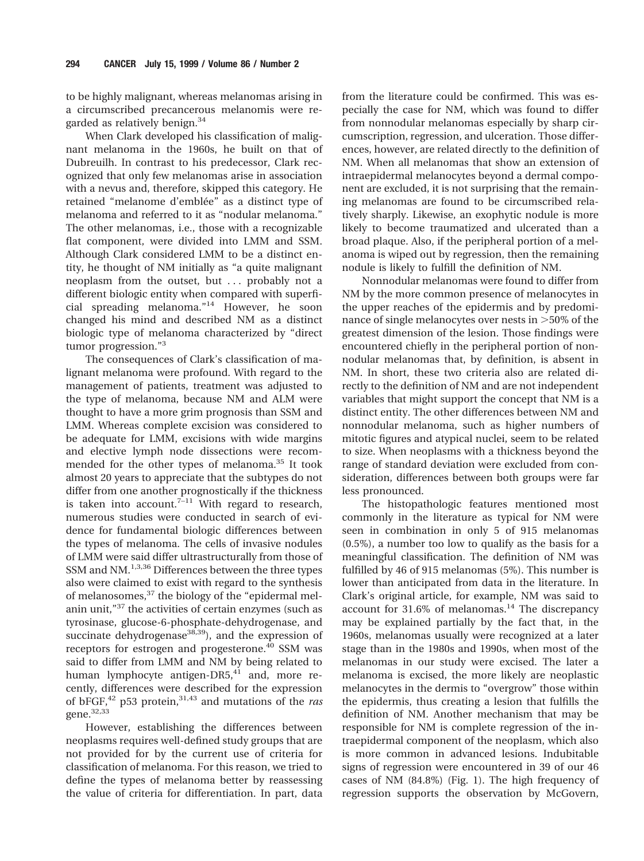to be highly malignant, whereas melanomas arising in a circumscribed precancerous melanomis were regarded as relatively benign.<sup>34</sup>

When Clark developed his classification of malignant melanoma in the 1960s, he built on that of Dubreuilh. In contrast to his predecessor, Clark recognized that only few melanomas arise in association with a nevus and, therefore, skipped this category. He retained "melanome d'emblée" as a distinct type of melanoma and referred to it as "nodular melanoma." The other melanomas, i.e., those with a recognizable flat component, were divided into LMM and SSM. Although Clark considered LMM to be a distinct entity, he thought of NM initially as "a quite malignant neoplasm from the outset, but ... probably not a different biologic entity when compared with superficial spreading melanoma."14 However, he soon changed his mind and described NM as a distinct biologic type of melanoma characterized by "direct tumor progression."3

The consequences of Clark's classification of malignant melanoma were profound. With regard to the management of patients, treatment was adjusted to the type of melanoma, because NM and ALM were thought to have a more grim prognosis than SSM and LMM. Whereas complete excision was considered to be adequate for LMM, excisions with wide margins and elective lymph node dissections were recommended for the other types of melanoma.<sup>35</sup> It took almost 20 years to appreciate that the subtypes do not differ from one another prognostically if the thickness is taken into account.<sup>7-11</sup> With regard to research, numerous studies were conducted in search of evidence for fundamental biologic differences between the types of melanoma. The cells of invasive nodules of LMM were said differ ultrastructurally from those of SSM and NM.<sup>1,3,36</sup> Differences between the three types also were claimed to exist with regard to the synthesis of melanosomes, $37$  the biology of the "epidermal melanin unit,"37 the activities of certain enzymes (such as tyrosinase, glucose-6-phosphate-dehydrogenase, and succinate dehydrogenase<sup>38,39</sup>), and the expression of receptors for estrogen and progesterone.<sup>40</sup> SSM was said to differ from LMM and NM by being related to human lymphocyte antigen-DR5, $^{41}$  and, more recently, differences were described for the expression of bFGF, $^{42}$  p53 protein, $^{31,43}$  and mutations of the *ras* gene.32,33

However, establishing the differences between neoplasms requires well-defined study groups that are not provided for by the current use of criteria for classification of melanoma. For this reason, we tried to define the types of melanoma better by reassessing the value of criteria for differentiation. In part, data from the literature could be confirmed. This was especially the case for NM, which was found to differ from nonnodular melanomas especially by sharp circumscription, regression, and ulceration. Those differences, however, are related directly to the definition of NM. When all melanomas that show an extension of intraepidermal melanocytes beyond a dermal component are excluded, it is not surprising that the remaining melanomas are found to be circumscribed relatively sharply. Likewise, an exophytic nodule is more likely to become traumatized and ulcerated than a broad plaque. Also, if the peripheral portion of a melanoma is wiped out by regression, then the remaining nodule is likely to fulfill the definition of NM.

Nonnodular melanomas were found to differ from NM by the more common presence of melanocytes in the upper reaches of the epidermis and by predominance of single melanocytes over nests in  $>50\%$  of the greatest dimension of the lesion. Those findings were encountered chiefly in the peripheral portion of nonnodular melanomas that, by definition, is absent in NM. In short, these two criteria also are related directly to the definition of NM and are not independent variables that might support the concept that NM is a distinct entity. The other differences between NM and nonnodular melanoma, such as higher numbers of mitotic figures and atypical nuclei, seem to be related to size. When neoplasms with a thickness beyond the range of standard deviation were excluded from consideration, differences between both groups were far less pronounced.

The histopathologic features mentioned most commonly in the literature as typical for NM were seen in combination in only 5 of 915 melanomas (0.5%), a number too low to qualify as the basis for a meaningful classification. The definition of NM was fulfilled by 46 of 915 melanomas (5%). This number is lower than anticipated from data in the literature. In Clark's original article, for example, NM was said to account for  $31.6\%$  of melanomas.<sup>14</sup> The discrepancy may be explained partially by the fact that, in the 1960s, melanomas usually were recognized at a later stage than in the 1980s and 1990s, when most of the melanomas in our study were excised. The later a melanoma is excised, the more likely are neoplastic melanocytes in the dermis to "overgrow" those within the epidermis, thus creating a lesion that fulfills the definition of NM. Another mechanism that may be responsible for NM is complete regression of the intraepidermal component of the neoplasm, which also is more common in advanced lesions. Indubitable signs of regression were encountered in 39 of our 46 cases of NM (84.8%) (Fig. 1). The high frequency of regression supports the observation by McGovern,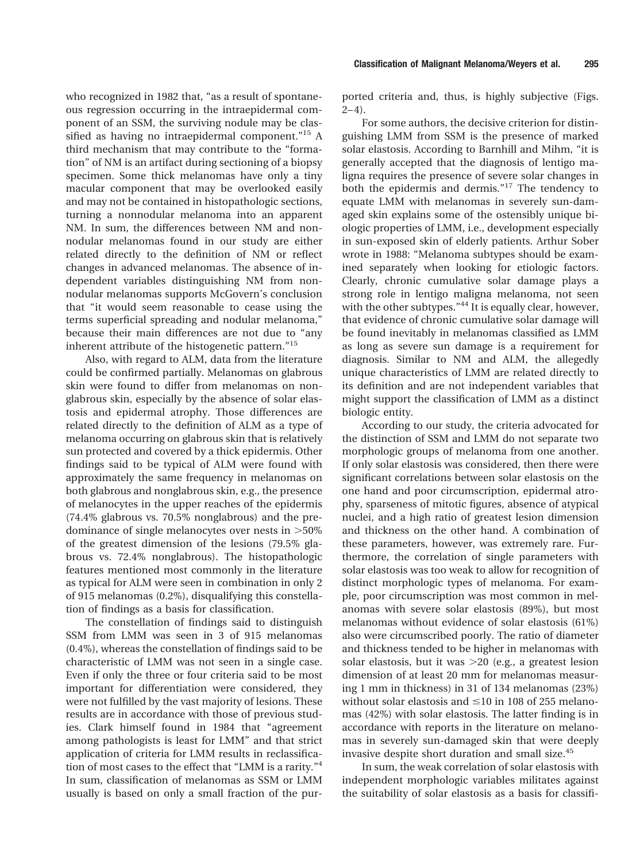who recognized in 1982 that, "as a result of spontaneous regression occurring in the intraepidermal component of an SSM, the surviving nodule may be classified as having no intraepidermal component."<sup>15</sup> A third mechanism that may contribute to the "formation" of NM is an artifact during sectioning of a biopsy specimen. Some thick melanomas have only a tiny macular component that may be overlooked easily and may not be contained in histopathologic sections, turning a nonnodular melanoma into an apparent NM. In sum, the differences between NM and nonnodular melanomas found in our study are either related directly to the definition of NM or reflect changes in advanced melanomas. The absence of independent variables distinguishing NM from nonnodular melanomas supports McGovern's conclusion that "it would seem reasonable to cease using the terms superficial spreading and nodular melanoma," because their main differences are not due to "any inherent attribute of the histogenetic pattern."<sup>15</sup>

Also, with regard to ALM, data from the literature could be confirmed partially. Melanomas on glabrous skin were found to differ from melanomas on nonglabrous skin, especially by the absence of solar elastosis and epidermal atrophy. Those differences are related directly to the definition of ALM as a type of melanoma occurring on glabrous skin that is relatively sun protected and covered by a thick epidermis. Other findings said to be typical of ALM were found with approximately the same frequency in melanomas on both glabrous and nonglabrous skin, e.g., the presence of melanocytes in the upper reaches of the epidermis (74.4% glabrous vs. 70.5% nonglabrous) and the predominance of single melanocytes over nests in  $>50\%$ of the greatest dimension of the lesions (79.5% glabrous vs. 72.4% nonglabrous). The histopathologic features mentioned most commonly in the literature as typical for ALM were seen in combination in only 2 of 915 melanomas (0.2%), disqualifying this constellation of findings as a basis for classification.

The constellation of findings said to distinguish SSM from LMM was seen in 3 of 915 melanomas (0.4%), whereas the constellation of findings said to be characteristic of LMM was not seen in a single case. Even if only the three or four criteria said to be most important for differentiation were considered, they were not fulfilled by the vast majority of lesions. These results are in accordance with those of previous studies. Clark himself found in 1984 that "agreement among pathologists is least for LMM" and that strict application of criteria for LMM results in reclassification of most cases to the effect that "LMM is a rarity."<sup>4</sup> In sum, classification of melanomas as SSM or LMM usually is based on only a small fraction of the purported criteria and, thus, is highly subjective (Figs.  $2-4$ ).

For some authors, the decisive criterion for distinguishing LMM from SSM is the presence of marked solar elastosis. According to Barnhill and Mihm, "it is generally accepted that the diagnosis of lentigo maligna requires the presence of severe solar changes in both the epidermis and dermis."<sup>17</sup> The tendency to equate LMM with melanomas in severely sun-damaged skin explains some of the ostensibly unique biologic properties of LMM, i.e., development especially in sun-exposed skin of elderly patients. Arthur Sober wrote in 1988: "Melanoma subtypes should be examined separately when looking for etiologic factors. Clearly, chronic cumulative solar damage plays a strong role in lentigo maligna melanoma, not seen with the other subtypes."<sup>44</sup> It is equally clear, however, that evidence of chronic cumulative solar damage will be found inevitably in melanomas classified as LMM as long as severe sun damage is a requirement for diagnosis. Similar to NM and ALM, the allegedly unique characteristics of LMM are related directly to its definition and are not independent variables that might support the classification of LMM as a distinct biologic entity.

According to our study, the criteria advocated for the distinction of SSM and LMM do not separate two morphologic groups of melanoma from one another. If only solar elastosis was considered, then there were significant correlations between solar elastosis on the one hand and poor circumscription, epidermal atrophy, sparseness of mitotic figures, absence of atypical nuclei, and a high ratio of greatest lesion dimension and thickness on the other hand. A combination of these parameters, however, was extremely rare. Furthermore, the correlation of single parameters with solar elastosis was too weak to allow for recognition of distinct morphologic types of melanoma. For example, poor circumscription was most common in melanomas with severe solar elastosis (89%), but most melanomas without evidence of solar elastosis (61%) also were circumscribed poorly. The ratio of diameter and thickness tended to be higher in melanomas with solar elastosis, but it was  $>20$  (e.g., a greatest lesion dimension of at least 20 mm for melanomas measuring 1 mm in thickness) in 31 of 134 melanomas (23%) without solar elastosis and  $\leq$ 10 in 108 of 255 melanomas (42%) with solar elastosis. The latter finding is in accordance with reports in the literature on melanomas in severely sun-damaged skin that were deeply invasive despite short duration and small size.<sup>45</sup>

In sum, the weak correlation of solar elastosis with independent morphologic variables militates against the suitability of solar elastosis as a basis for classifi-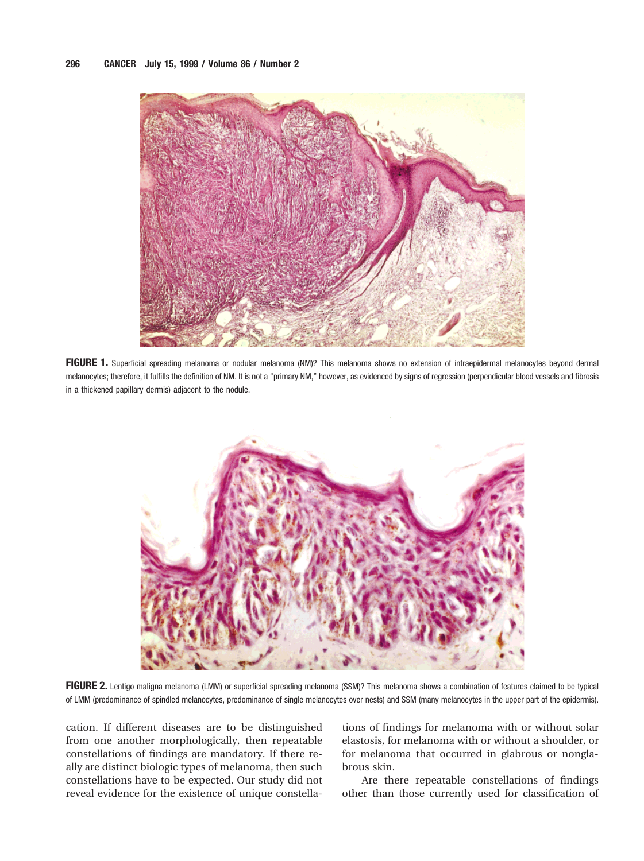

**FIGURE 1.** Superficial spreading melanoma or nodular melanoma (NM)? This melanoma shows no extension of intraepidermal melanocytes beyond dermal melanocytes; therefore, it fulfills the definition of NM. It is not a "primary NM," however, as evidenced by signs of regression (perpendicular blood vessels and fibrosis in a thickened papillary dermis) adjacent to the nodule.



**FIGURE 2.** Lentigo maligna melanoma (LMM) or superficial spreading melanoma (SSM)? This melanoma shows a combination of features claimed to be typical of LMM (predominance of spindled melanocytes, predominance of single melanocytes over nests) and SSM (many melanocytes in the upper part of the epidermis).

cation. If different diseases are to be distinguished from one another morphologically, then repeatable constellations of findings are mandatory. If there really are distinct biologic types of melanoma, then such constellations have to be expected. Our study did not reveal evidence for the existence of unique constella-

tions of findings for melanoma with or without solar elastosis, for melanoma with or without a shoulder, or for melanoma that occurred in glabrous or nonglabrous skin.

Are there repeatable constellations of findings other than those currently used for classification of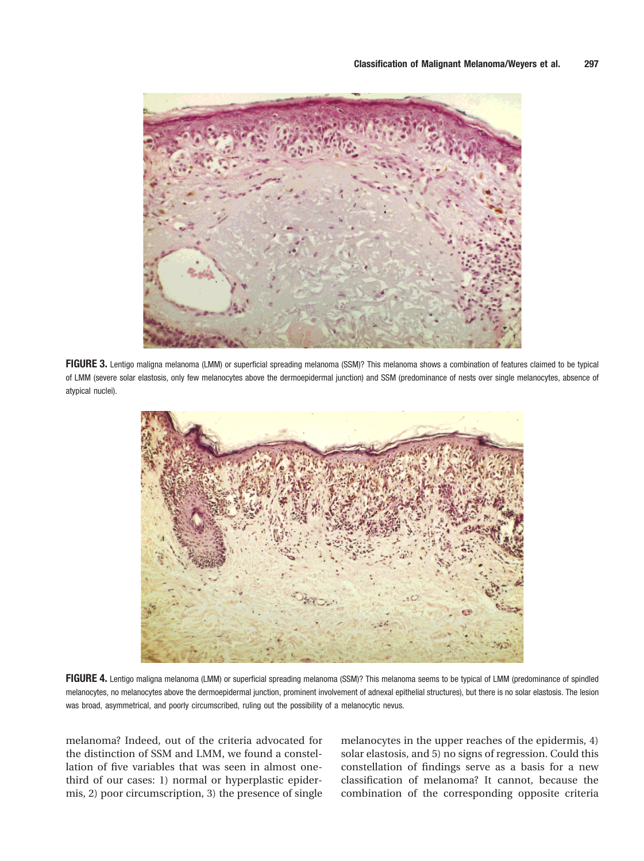

**FIGURE 3.** Lentigo maligna melanoma (LMM) or superficial spreading melanoma (SSM)? This melanoma shows a combination of features claimed to be typical of LMM (severe solar elastosis, only few melanocytes above the dermoepidermal junction) and SSM (predominance of nests over single melanocytes, absence of atypical nuclei).



FIGURE 4. Lentigo maligna melanoma (LMM) or superficial spreading melanoma (SSM)? This melanoma seems to be typical of LMM (predominance of spindled melanocytes, no melanocytes above the dermoepidermal junction, prominent involvement of adnexal epithelial structures), but there is no solar elastosis. The lesion was broad, asymmetrical, and poorly circumscribed, ruling out the possibility of a melanocytic nevus.

melanoma? Indeed, out of the criteria advocated for the distinction of SSM and LMM, we found a constellation of five variables that was seen in almost onethird of our cases: 1) normal or hyperplastic epidermis, 2) poor circumscription, 3) the presence of single

melanocytes in the upper reaches of the epidermis, 4) solar elastosis, and 5) no signs of regression. Could this constellation of findings serve as a basis for a new classification of melanoma? It cannot, because the combination of the corresponding opposite criteria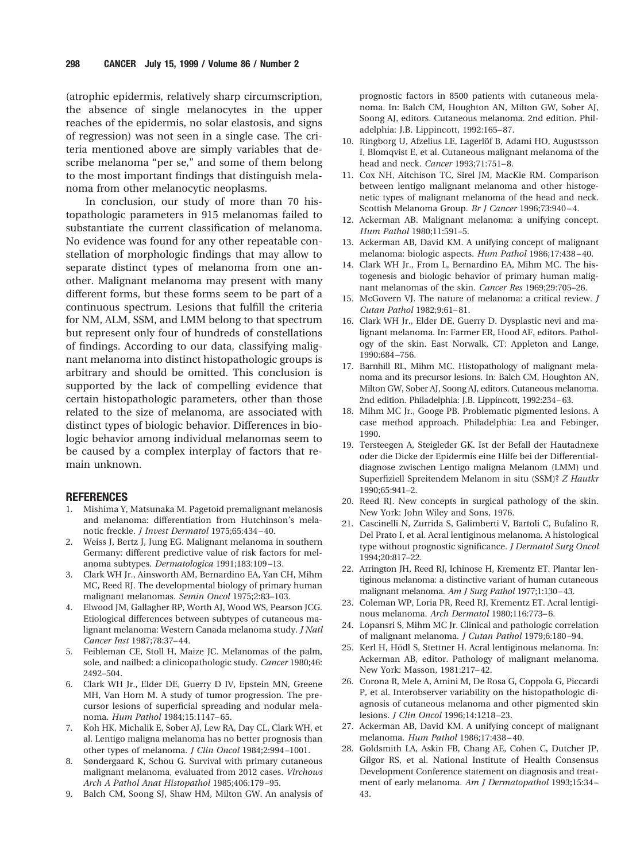(atrophic epidermis, relatively sharp circumscription, the absence of single melanocytes in the upper reaches of the epidermis, no solar elastosis, and signs of regression) was not seen in a single case. The criteria mentioned above are simply variables that describe melanoma "per se," and some of them belong to the most important findings that distinguish melanoma from other melanocytic neoplasms.

In conclusion, our study of more than 70 histopathologic parameters in 915 melanomas failed to substantiate the current classification of melanoma. No evidence was found for any other repeatable constellation of morphologic findings that may allow to separate distinct types of melanoma from one another. Malignant melanoma may present with many different forms, but these forms seem to be part of a continuous spectrum. Lesions that fulfill the criteria for NM, ALM, SSM, and LMM belong to that spectrum but represent only four of hundreds of constellations of findings. According to our data, classifying malignant melanoma into distinct histopathologic groups is arbitrary and should be omitted. This conclusion is supported by the lack of compelling evidence that certain histopathologic parameters, other than those related to the size of melanoma, are associated with distinct types of biologic behavior. Differences in biologic behavior among individual melanomas seem to be caused by a complex interplay of factors that remain unknown.

# **REFERENCES**

- 1. Mishima Y, Matsunaka M. Pagetoid premalignant melanosis and melanoma: differentiation from Hutchinson's melanotic freckle. *J Invest Dermatol* 1975;65:434 – 40.
- 2. Weiss J, Bertz J, Jung EG. Malignant melanoma in southern Germany: different predictive value of risk factors for melanoma subtypes. *Dermatologica* 1991;183:109 –13.
- 3. Clark WH Jr., Ainsworth AM, Bernardino EA, Yan CH, Mihm MC, Reed RJ. The developmental biology of primary human malignant melanomas. *Semin Oncol* 1975;2:83–103.
- 4. Elwood JM, Gallagher RP, Worth AJ, Wood WS, Pearson JCG. Etiological differences between subtypes of cutaneous malignant melanoma: Western Canada melanoma study. *J Natl Cancer Inst* 1987;78:37– 44.
- 5. Feibleman CE, Stoll H, Maize JC. Melanomas of the palm, sole, and nailbed: a clinicopathologic study. *Cancer* 1980;46: 2492–504.
- 6. Clark WH Jr., Elder DE, Guerry D IV, Epstein MN, Greene MH, Van Horn M. A study of tumor progression. The precursor lesions of superficial spreading and nodular melanoma. *Hum Pathol* 1984;15:1147– 65.
- 7. Koh HK, Michalik E, Sober AJ, Lew RA, Day CL, Clark WH, et al. Lentigo maligna melanoma has no better prognosis than other types of melanoma. *J Clin Oncol* 1984;2:994 –1001.
- 8. Søndergaard K, Schou G. Survival with primary cutaneous malignant melanoma, evaluated from 2012 cases. *Virchows Arch A Pathol Anat Histopathol* 1985;406:179 –95.
- 9. Balch CM, Soong SJ, Shaw HM, Milton GW. An analysis of

prognostic factors in 8500 patients with cutaneous melanoma. In: Balch CM, Houghton AN, Milton GW, Sober AJ, Soong AJ, editors. Cutaneous melanoma. 2nd edition. Philadelphia: J.B. Lippincott, 1992:165– 87.

- 10. Ringborg U, Afzelius LE, Lagerlöf B, Adami HO, Augustsson I, Blomqvist E, et al. Cutaneous malignant melanoma of the head and neck. *Cancer* 1993;71:751– 8.
- 11. Cox NH, Aitchison TC, Sirel JM, MacKie RM. Comparison between lentigo malignant melanoma and other histogenetic types of malignant melanoma of the head and neck. Scottish Melanoma Group. *Br J Cancer* 1996;73:940-4.
- 12. Ackerman AB. Malignant melanoma: a unifying concept. *Hum Pathol* 1980;11:591–5.
- 13. Ackerman AB, David KM. A unifying concept of malignant melanoma: biologic aspects. *Hum Pathol* 1986;17:438 – 40.
- 14. Clark WH Jr., From L, Bernardino EA, Mihm MC. The histogenesis and biologic behavior of primary human malignant melanomas of the skin. *Cancer Res* 1969;29:705–26.
- 15. McGovern VJ. The nature of melanoma: a critical review. *J Cutan Pathol* 1982;9:61– 81.
- 16. Clark WH Jr., Elder DE, Guerry D. Dysplastic nevi and malignant melanoma. In: Farmer ER, Hood AF, editors. Pathology of the skin. East Norwalk, CT: Appleton and Lange, 1990:684 –756.
- 17. Barnhill RL, Mihm MC. Histopathology of malignant melanoma and its precursor lesions. In: Balch CM, Houghton AN, Milton GW, Sober AJ, Soong AJ, editors. Cutaneous melanoma. 2nd edition. Philadelphia: J.B. Lippincott, 1992:234–63.
- 18. Mihm MC Jr., Googe PB. Problematic pigmented lesions. A case method approach. Philadelphia: Lea and Febinger, 1990.
- 19. Tersteegen A, Steigleder GK. Ist der Befall der Hautadnexe oder die Dicke der Epidermis eine Hilfe bei der Differentialdiagnose zwischen Lentigo maligna Melanom (LMM) und Superfiziell Spreitendem Melanom in situ (SSM)? *Z Hautkr* 1990;65:941–2.
- 20. Reed RJ. New concepts in surgical pathology of the skin. New York: John Wiley and Sons, 1976.
- 21. Cascinelli N, Zurrida S, Galimberti V, Bartoli C, Bufalino R, Del Prato I, et al. Acral lentiginous melanoma. A histological type without prognostic significance. *J Dermatol Surg Oncol* 1994;20:817–22.
- 22. Arrington JH, Reed RJ, Ichinose H, Krementz ET. Plantar lentiginous melanoma: a distinctive variant of human cutaneous malignant melanoma. *Am J Surg Pathol* 1977;1:130–43.
- 23. Coleman WP, Loria PR, Reed RJ, Krementz ET. Acral lentiginous melanoma. *Arch Dermatol* 1980;116:773– 6.
- 24. Lopansri S, Mihm MC Jr. Clinical and pathologic correlation of malignant melanoma. *J Cutan Pathol* 1979;6:180 –94.
- 25. Kerl H, Hödl S, Stettner H. Acral lentiginous melanoma. In: Ackerman AB, editor. Pathology of malignant melanoma. New York: Masson, 1981:217– 42.
- 26. Corona R, Mele A, Amini M, De Rosa G, Coppola G, Piccardi P, et al. Interobserver variability on the histopathologic diagnosis of cutaneous melanoma and other pigmented skin lesions. *J Clin Oncol* 1996;14:1218 –23.
- Ackerman AB, David KM. A unifying concept of malignant melanoma. *Hum Pathol* 1986;17:438 – 40.
- 28. Goldsmith LA, Askin FB, Chang AE, Cohen C, Dutcher JP, Gilgor RS, et al. National Institute of Health Consensus Development Conference statement on diagnosis and treatment of early melanoma. *Am J Dermatopathol* 1993;15:34 – 43.